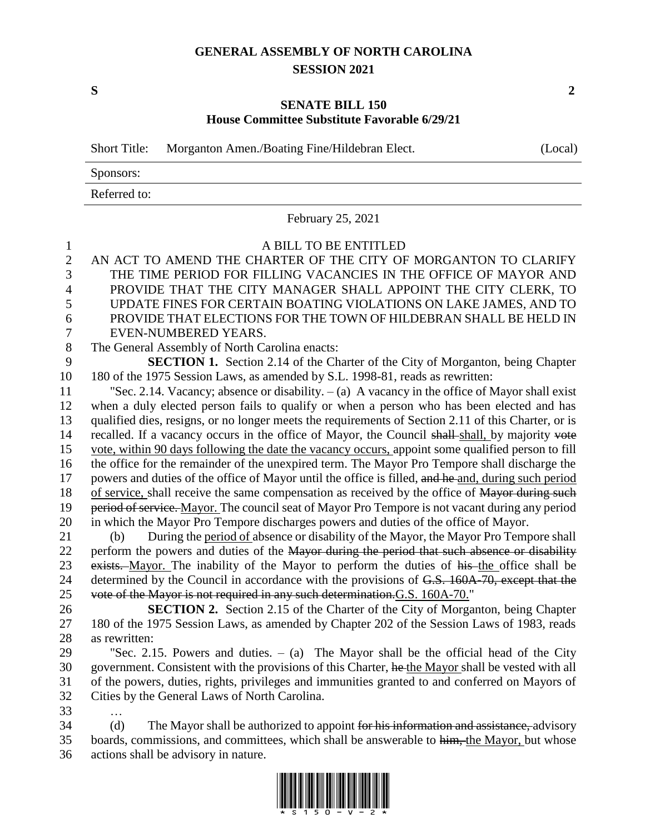## **GENERAL ASSEMBLY OF NORTH CAROLINA SESSION 2021**

## **SENATE BILL 150 House Committee Substitute Favorable 6/29/21**

Short Title: Morganton Amen./Boating Fine/Hildebran Elect. (Local) Sponsors: Referred to: February 25, 2021 A BILL TO BE ENTITLED AN ACT TO AMEND THE CHARTER OF THE CITY OF MORGANTON TO CLARIFY THE TIME PERIOD FOR FILLING VACANCIES IN THE OFFICE OF MAYOR AND PROVIDE THAT THE CITY MANAGER SHALL APPOINT THE CITY CLERK, TO UPDATE FINES FOR CERTAIN BOATING VIOLATIONS ON LAKE JAMES, AND TO PROVIDE THAT ELECTIONS FOR THE TOWN OF HILDEBRAN SHALL BE HELD IN EVEN-NUMBERED YEARS. The General Assembly of North Carolina enacts: **SECTION 1.** Section 2.14 of the Charter of the City of Morganton, being Chapter 180 of the 1975 Session Laws, as amended by S.L. 1998-81, reads as rewritten: "Sec. 2.14. Vacancy; absence or disability. – (a) A vacancy in the office of Mayor shall exist when a duly elected person fails to qualify or when a person who has been elected and has qualified dies, resigns, or no longer meets the requirements of Section 2.11 of this Charter, or is 14 recalled. If a vacancy occurs in the office of Mayor, the Council shall-shall, by majority vote vote, within 90 days following the date the vacancy occurs, appoint some qualified person to fill the office for the remainder of the unexpired term. The Mayor Pro Tempore shall discharge the 17 powers and duties of the office of Mayor until the office is filled, and he and, during such period 18 of service, shall receive the same compensation as received by the office of Mayor during such 19 period of service. Mayor. The council seat of Mayor Pro Tempore is not vacant during any period in which the Mayor Pro Tempore discharges powers and duties of the office of Mayor. (b) During the period of absence or disability of the Mayor, the Mayor Pro Tempore shall 22 perform the powers and duties of the Mayor during the period that such absence or disability 23 exists. Mayor. The inability of the Mayor to perform the duties of his the office shall be 24 determined by the Council in accordance with the provisions of G.S. 160A-70, except that the vote of the Mayor is not required in any such determination.G.S. 160A-70." **SECTION 2.** Section 2.15 of the Charter of the City of Morganton, being Chapter

27 180 of the 1975 Session Laws, as amended by Chapter 202 of the Session Laws of 1983, reads 28 as rewritten:

 "Sec. 2.15. Powers and duties. – (a) The Mayor shall be the official head of the City government. Consistent with the provisions of this Charter, he the Mayor shall be vested with all of the powers, duties, rights, privileges and immunities granted to and conferred on Mayors of Cities by the General Laws of North Carolina.

33 …

34 (d) The Mayor shall be authorized to appoint for his information and assistance, advisory 35 boards, commissions, and committees, which shall be answerable to him, the Mayor, but whose 36 actions shall be advisory in nature.



**S 2**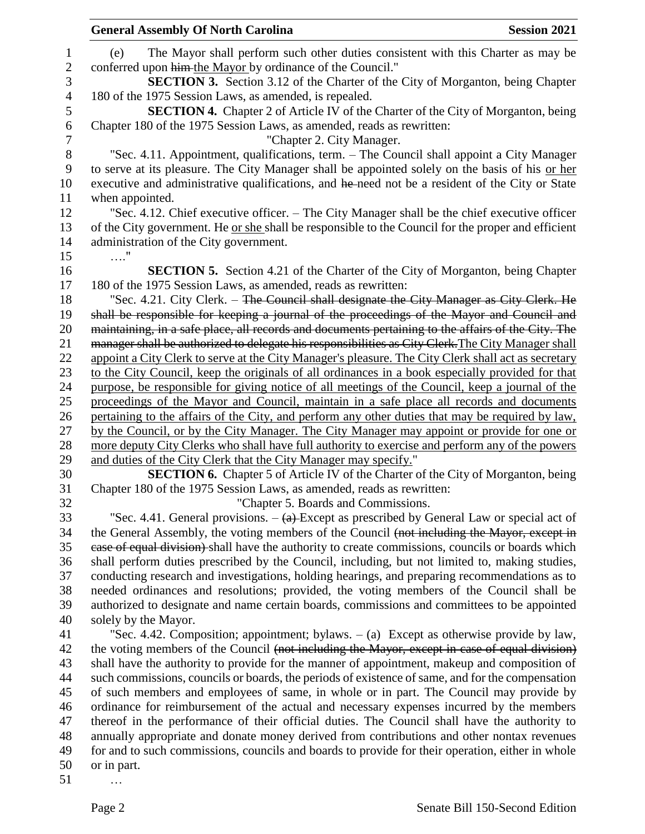|                | <b>General Assembly Of North Carolina</b><br><b>Session 2021</b>                                                                                                                               |
|----------------|------------------------------------------------------------------------------------------------------------------------------------------------------------------------------------------------|
| 1              | The Mayor shall perform such other duties consistent with this Charter as may be<br>(e)                                                                                                        |
| $\sqrt{2}$     | conferred upon him-the Mayor by ordinance of the Council."                                                                                                                                     |
| 3              | <b>SECTION 3.</b> Section 3.12 of the Charter of the City of Morganton, being Chapter                                                                                                          |
| $\overline{4}$ | 180 of the 1975 Session Laws, as amended, is repealed.                                                                                                                                         |
| $\mathfrak s$  | SECTION 4. Chapter 2 of Article IV of the Charter of the City of Morganton, being                                                                                                              |
| 6              | Chapter 180 of the 1975 Session Laws, as amended, reads as rewritten:                                                                                                                          |
| 7              | "Chapter 2. City Manager.                                                                                                                                                                      |
| 8              | "Sec. 4.11. Appointment, qualifications, term. – The Council shall appoint a City Manager                                                                                                      |
| 9              | to serve at its pleasure. The City Manager shall be appointed solely on the basis of his or her                                                                                                |
| 10             | executive and administrative qualifications, and he need not be a resident of the City or State                                                                                                |
| 11             | when appointed.                                                                                                                                                                                |
| 12             | "Sec. 4.12. Chief executive officer. - The City Manager shall be the chief executive officer                                                                                                   |
| 13             | of the City government. He or she shall be responsible to the Council for the proper and efficient                                                                                             |
| 14             | administration of the City government.                                                                                                                                                         |
| 15             | . "                                                                                                                                                                                            |
| 16             | <b>SECTION 5.</b> Section 4.21 of the Charter of the City of Morganton, being Chapter                                                                                                          |
| 17             | 180 of the 1975 Session Laws, as amended, reads as rewritten:                                                                                                                                  |
| 18             | "Sec. 4.21. City Clerk. – The Council shall designate the City Manager as City Clerk. He                                                                                                       |
| 19             | shall be responsible for keeping a journal of the proceedings of the Mayor and Council and                                                                                                     |
| 20             | maintaining, in a safe place, all records and documents pertaining to the affairs of the City. The                                                                                             |
| 21             | manager shall be authorized to delegate his responsibilities as City Clerk. The City Manager shall                                                                                             |
| 22             | appoint a City Clerk to serve at the City Manager's pleasure. The City Clerk shall act as secretary                                                                                            |
| 23             | to the City Council, keep the originals of all ordinances in a book especially provided for that                                                                                               |
| 24             | purpose, be responsible for giving notice of all meetings of the Council, keep a journal of the                                                                                                |
| 25<br>26       | proceedings of the Mayor and Council, maintain in a safe place all records and documents                                                                                                       |
| 27             | pertaining to the affairs of the City, and perform any other duties that may be required by law,<br>by the Council, or by the City Manager. The City Manager may appoint or provide for one or |
| 28             | more deputy City Clerks who shall have full authority to exercise and perform any of the powers                                                                                                |
| 29             | and duties of the City Clerk that the City Manager may specify."                                                                                                                               |
| 30             | <b>SECTION 6.</b> Chapter 5 of Article IV of the Charter of the City of Morganton, being                                                                                                       |
| 31             | Chapter 180 of the 1975 Session Laws, as amended, reads as rewritten:                                                                                                                          |
| 32             | "Chapter 5. Boards and Commissions.                                                                                                                                                            |
| 33             | "Sec. 4.41. General provisions. $-$ (a) Except as prescribed by General Law or special act of                                                                                                  |
| 34             | the General Assembly, the voting members of the Council (not including the Mayor, except in                                                                                                    |
| 35             | ease of equal division) shall have the authority to create commissions, councils or boards which                                                                                               |
| 36             | shall perform duties prescribed by the Council, including, but not limited to, making studies,                                                                                                 |
| 37             | conducting research and investigations, holding hearings, and preparing recommendations as to                                                                                                  |
| 38             | needed ordinances and resolutions; provided, the voting members of the Council shall be                                                                                                        |
| 39             | authorized to designate and name certain boards, commissions and committees to be appointed                                                                                                    |
| 40             | solely by the Mayor.                                                                                                                                                                           |
| 41             | "Sec. 4.42. Composition; appointment; bylaws. $-$ (a) Except as otherwise provide by law,                                                                                                      |
| 42             | the voting members of the Council (not including the Mayor, except in case of equal division)                                                                                                  |
| 43             | shall have the authority to provide for the manner of appointment, makeup and composition of                                                                                                   |
| 44             | such commissions, councils or boards, the periods of existence of same, and for the compensation                                                                                               |
| 45             | of such members and employees of same, in whole or in part. The Council may provide by                                                                                                         |
| 46             | ordinance for reimbursement of the actual and necessary expenses incurred by the members                                                                                                       |
| 47             | thereof in the performance of their official duties. The Council shall have the authority to                                                                                                   |
| 48             | annually appropriate and donate money derived from contributions and other nontax revenues                                                                                                     |
| 49             | for and to such commissions, councils and boards to provide for their operation, either in whole                                                                                               |
| 50             | or in part.                                                                                                                                                                                    |
| 51             |                                                                                                                                                                                                |